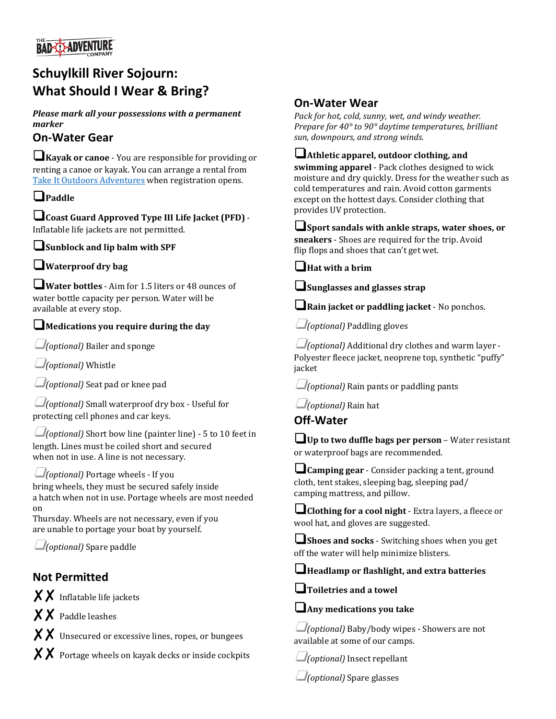

# **Schuylkill River Sojourn: What Should I Wear & Bring?**

*Please mark all your possessions with a permanent marker*

# **On-Water Gear**

❏**Kayak or canoe** - You are responsible for providing or renting a canoe or kayak. You can arrange a rental from [Take It Outdoors Adventures](https://book.peek.com/s/a0558a25-b0c4-49c0-85b9-5f0729aa6da8/XDO9M) when registration opens.

### ❏**Paddle**

❏**Coast Guard Approved Type III Life Jacket (PFD)** - Inflatable life jackets are not permitted.

❏**Sunblock and lip balm with SPF**

#### ❏**Waterproof dry bag**

❏**Water bottles** - Aim for 1.5 liters or 48 ounces of water bottle capacity per person. Water will be available at every stop.

#### ❏**Medications you require during the day**

❏*(optional)* Bailer and sponge

❏*(optional)* Whistle

❏*(optional)* Seat pad or knee pad

❏*(optional)* Small waterproof dry box - Useful for protecting cell phones and car keys.

❏*(optional)* Short bow line (painter line) - 5 to 10 feet in length. Lines must be coiled short and secured when not in use. A line is not necessary.

#### ❏*(optional)* Portage wheels - If you

bring wheels, they must be secured safely inside a hatch when not in use. Portage wheels are most needed on

Thursday. Wheels are not necessary, even if you are unable to portage your boat by yourself.

❏*(optional)* Spare paddle

## **Not Permitted**

✘✘ Inflatable life jackets

✘✘ Paddle leashes

 $\boldsymbol{\times} \boldsymbol{\times}$  Unsecured or excessive lines, ropes, or bungees

 $~~X~~  $\times$  **Portage wheels on kayak decks or inside cockpits**$ 

# **On-Water Wear**

*Pack for hot, cold, sunny, wet, and windy weather. Prepare for 40° to 90° daytime temperatures, brilliant sun, downpours, and strong winds.*

#### ❏**Athletic apparel, outdoor clothing, and**

**swimming apparel** - Pack clothes designed to wick moisture and dry quickly. Dress for the weather such as cold temperatures and rain. Avoid cotton garments except on the hottest days. Consider clothing that provides UV protection.

❏**Sport sandals with ankle straps, water shoes, or sneakers** - Shoes are required for the trip. Avoid flip flops and shoes that can't get wet.

❏**Hat with a brim**

❏**Sunglasses and glasses strap**

❏**Rain jacket or paddling jacket** - No ponchos.

❏*(optional)* Paddling gloves

❏*(optional)* Additional dry clothes and warm layer - Polyester fleece jacket, neoprene top, synthetic "puffy" jacket

❏*(optional)* Rain pants or paddling pants

❏*(optional)* Rain hat

**Off-Water**

❏**Up to two duffle bags per person** – Water resistant or waterproof bags are recommended.

❏**Camping gear** - Consider packing a tent, ground cloth, tent stakes, sleeping bag, sleeping pad/ camping mattress, and pillow.

❏**Clothing for a cool night** - Extra layers, a fleece or wool hat, and gloves are suggested.

❏**Shoes and socks** - Switching shoes when you get off the water will help minimize blisters.

#### ❏**Headlamp or flashlight, and extra batteries**

❏**Toiletries and a towel**

❏**Any medications you take**

❏*(optional)* Baby/body wipes - Showers are not available at some of our camps.

❏*(optional)* Insect repellant

❏*(optional)* Spare glasses